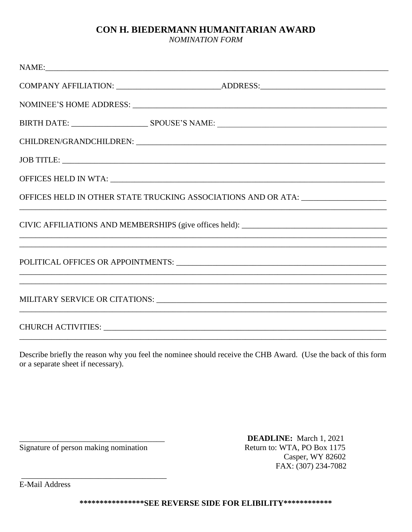## CON H. BIEDERMANN HUMANITARIAN AWARD

**NOMINATION FORM** 

Describe briefly the reason why you feel the nominee should receive the CHB Award. (Use the back of this form or a separate sheet if necessary).

Signature of person making nomination

**DEADLINE:** March 1, 2021 Return to: WTA, PO Box 1175 Casper, WY 82602 FAX: (307) 234-7082

**E-Mail Address**